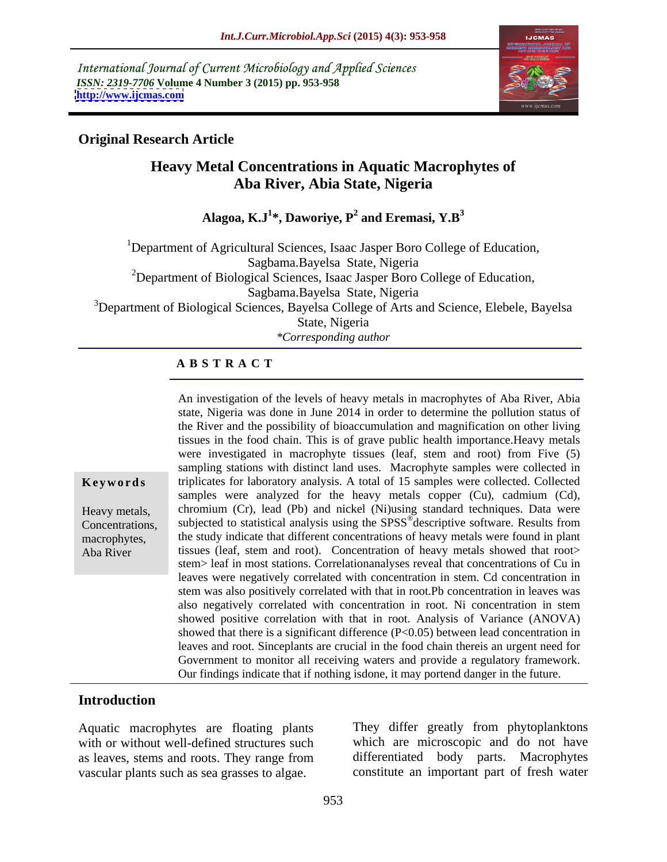International Journal of Current Microbiology and Applied Sciences *ISSN: 2319-7706* **Volume 4 Number 3 (2015) pp. 953-958 <http://www.ijcmas.com>**



### **Original Research Article**

# **Heavy Metal Concentrations in Aquatic Macrophytes of Aba River, Abia State, Nigeria**

**Alagoa, K.J<sup>1</sup> \*, Daworiye, P<sup>2</sup> and Eremasi, Y.B<sup>3</sup>**

<sup>1</sup>Department of Agricultural Sciences, Isaac Jasper Boro College of Education, Sagbama.Bayelsa State, Nigeria <sup>2</sup>Department of Biological Sciences, Isaac Jasper Boro College of Education, Sagbama.Bayelsa State, Nigeria <sup>3</sup>Department of Biological Sciences, Bayelsa College of Arts and Science, Elebele, Bayelsa State, Nigeria

*\*Corresponding author*

### **A B S T R A C T**

An investigation of the levels of heavy metals in macrophytes of Aba River, Abia state, Nigeria was done in June 2014 in order to determine the pollution status of the River and the possibility of bioaccumulation and magnification on other living tissues in the food chain. This is of grave public health importance.Heavy metals were investigated in macrophyte tissues (leaf, stem and root) from Five (5) sampling stations with distinct land uses. Macrophyte samples were collected in **Keywords** triplicates for laboratory analysis. A total of 15 samples were collected. Collected samples were analyzed for the heavy metals copper (Cu), cadmium (Cd), chromium (Cr), lead (Pb) and nickel (Ni)using standard techniques. Data were Heavy metals, Eventrations, subjected to statistical analysis using the SPSS<sup>®</sup>descriptive software. Results from descriptive software. Results from the study indicate that different concentrations of heavy metals were found in plant macrophytes, tissues (leaf, stem and root). Concentration of heavy metals showed that root> stem> leaf in most stations. Correlationanalyses reveal that concentrations of Cu in leaves were negatively correlated with concentration in stem. Cd concentration in stem was also positively correlated with that in root.Pb concentration in leaves was also negatively correlated with concentration in root. Ni concentration in stem showed positive correlation with that in root. Analysis of Variance (ANOVA) showed that there is a significant difference (P<0.05) between lead concentration in leaves and root. Sinceplants are crucial in the food chain thereis an urgent need for Government to monitor all receiving waters and provide a regulatory framework. Our findings indicate that if nothing isdone, it may portend danger in the future.

# **Introduction**

Aba River

Aquatic macrophytes are floating plants with or without well-defined structures such which are microscopic and do not have as leaves, stems and roots. They range from vascular plants such as sea grasses to algae. constitute an important part of fresh water

They differ greatly from phytoplanktons differentiated body parts. Macrophytes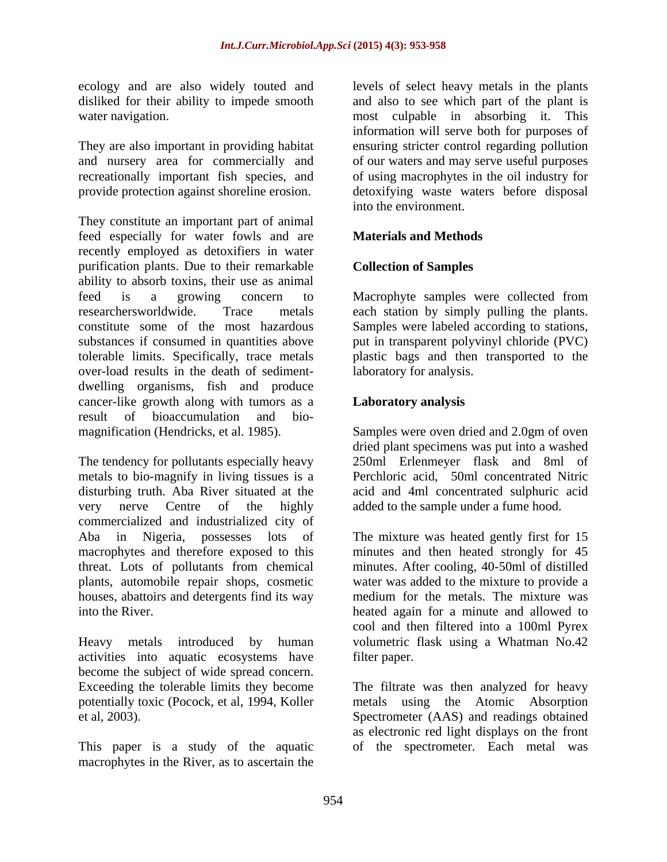They constitute an important part of animal feed especially for water fowls and are **Materials and Methods** recently employed as detoxifiers in water purification plants. Due to their remarkable ability to absorb toxins, their use as animal feed is a growing concern to Macrophyte samples were collected from researchersworldwide. Trace metals each station by simply pulling the plants. constitute some of the most hazardous Samples were labeled according to stations, substances if consumed in quantities above put in transparent polyvinyl chloride (PVC) tolerable limits. Specifically, trace metals plastic bags and then transported to the over-load results in the death of sediment dwelling organisms, fish and produce cancer-like growth along with tumors as a **Laboratory analysis** result of bioaccumulation and bio magnification (Hendricks, et al. 1985). Samples were oven dried and 2.0gm of oven

The tendency for pollutants especially heavy 250ml Erlenmeyer flask and 8ml of metals to bio-magnify in living tissues is a disturbing truth. Aba River situated at the acid and 4ml concentrated sulphuric acid very nerve Centre of the highly added to the sample under a fume hood. commercialized and industrialized city of plants, automobile repair shops, cosmetic houses, abattoirs and detergents find its way

activities into aquatic ecosystems have become the subject of wide spread concern.

This paper is a study of the aquatic of the spectrometer. Each metal wasmacrophytes in the River, as to ascertain the

ecology and are also widely touted and levels of select heavy metals in the plants disliked for their ability to impede smooth and also to see which part of the plant is water navigation. most culpable in absorbing it. This They are also important in providing habitat ensuring stricter control regarding pollution and nursery area for commercially and of our waters and may serve useful purposes recreationally important fish species, and of using macrophytes in the oil industry for provide protection against shoreline erosion. 
<br>
detoxifying waste waters before disposal information will serve both for purposes of into the environment.

## **Materials and Methods**

### **Collection of Samples**

laboratory for analysis.

### **Laboratory analysis**

dried plant specimens was put into a washed Perchloric acid, 50ml concentrated Nitric

Aba in Nigeria, possesses lots of The mixture was heated gently first for15 macrophytes and therefore exposed to this minutes and then heated strongly for 45 threat. Lots of pollutants from chemical minutes. After cooling, 40-50ml of distilled into the River. heated again for a minute and allowed to Heavy metals introduced by human volumetric flask using a Whatman No.42 water was added to the mixture to provide a medium for the metals. The mixture was cool and then filtered into a 100ml Pyrex filter paper.

Exceeding the tolerable limits they become The filtrate was then analyzed for heavy potentially toxic (Pocock, et al, 1994, Koller metals using the Atomic Absorption et al, 2003). Spectrometer (AAS) and readings obtained as electronic red light displays on the front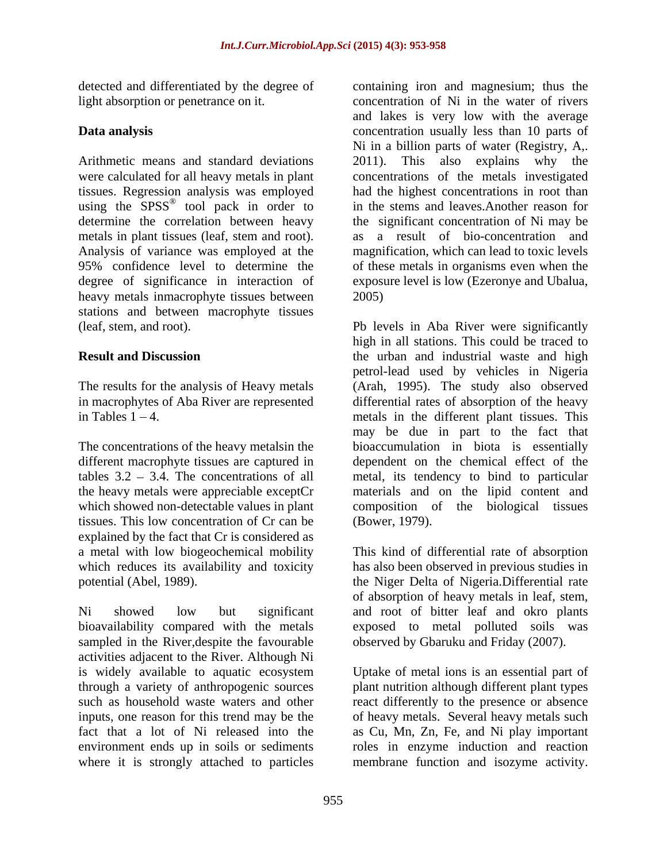detected and differentiated by the degree of containing iron and magnesium; thus the

Arithmetic means and standard deviations 2011). This also explains why the were calculated for all heavy metals in plant concentrations of the metals investigated tissues. Regression analysis was employed using the SPSS<sup>®</sup> tool pack in order to determine the correlation between heavy metals in plant tissues (leaf, stem and root). as Analysis of variance was employed at the 95% confidence level to determine the 95% confidence level to determine the of these metals in organisms even when the degree of significance in interaction of exposure level is low (Ezeronye and Ubalua, heavy metals inmacrophyte tissues between 2005) stations and between macrophyte tissues

The concentrations of the heavy metalsin the different macrophyte tissues are captured in tissues. This low concentration of Cr can be explained by the fact that Cr is considered as

Ni showed low but significant and root of bitter leaf and okro plants bioavailability compared with the metals sampled in the River,despite the favourable activities adjacent to the River. Although Ni is widely available to aquatic ecosystem Uptake of metal ions is an essential part of through a variety of anthropogenic sources plant nutrition although different plant types such as household waste waters and other eact differently to the presence or absence inputs, one reason for this trend may be the of heavy metals. Several heavy metals such fact that a lot of Ni released into the as Cu, Mn, Zn, Fe, and Ni play important environment ends up in soils or sediments roles in enzyme induction and reaction where it is strongly attached to particles

light absorption or penetrance on it. concentration of Ni in the water of rivers **Data analysis Concentration** usually less than 10 parts of tool pack in order to in the stems and leaves.Another reason for and lakes is very low with the average Ni in a billion parts of water (Registry, A,. 2011). This also explains why the had the highest concentrations in root than the significant concentration of Ni may be a result of bio-concentration and magnification, which can lead to toxic levels 2005)

(leaf, stem, and root). Pb levels in Aba River were significantly **Result and Discussion** the urban and industrial waste and high The results for the analysis of Heavy metals (Arah, 1995). The study also observed in macrophytes of Aba River are represented differential rates of absorption of the heavy in Tables 1 4. metals in the different plant tissues. This tables  $3.2 - 3.4$ . The concentrations of all metal, its tendency to bind to particular the heavy metals were appreciable exceptCr materials and on the lipid content and which showed non-detectable values in plant composition of the biological tissues high in all stations. This could be traced to petrol-lead used by vehicles in Nigeria may be due in part to the fact that bioaccumulation in biota is essentially dependent on the chemical effect of the (Bower, 1979).

a metal with low biogeochemical mobility This kind of differential rate of absorption which reduces its availability and toxicity has also been observed in previous studies in potential (Abel, 1989). the Niger Delta of Nigeria.Differential rate of absorption of heavy metals in leaf, stem, exposed to metal polluted soils was observed by Gbaruku and Friday (2007).

membrane function and isozyme activity.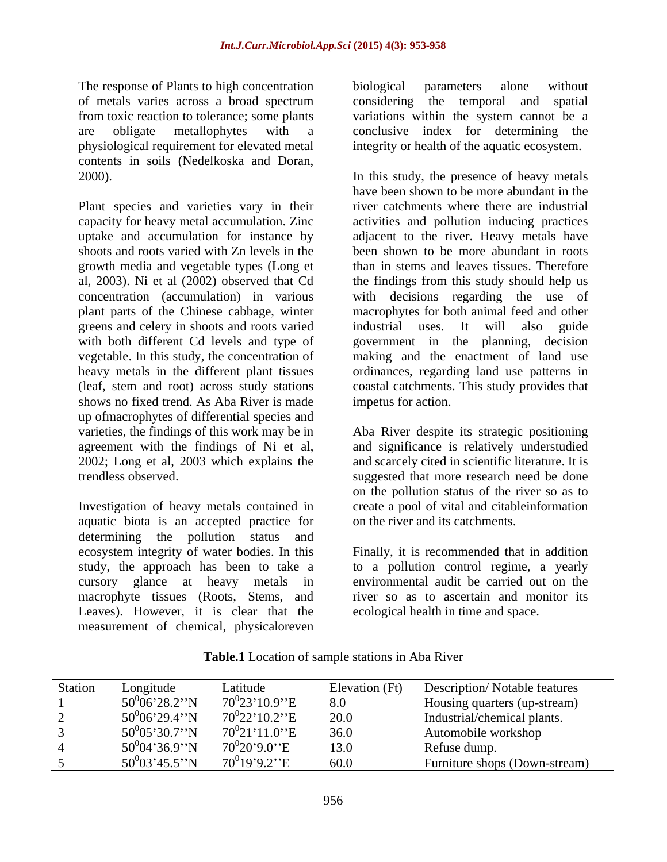The response of Plants to high concentration biological parameters alone without physiological requirement for elevated metal contents in soils (Nedelkoska and Doran,

Plant species and varieties vary in their capacity for heavy metal accumulation. Zinc growth media and vegetable types (Long et al, 2003). Ni et al (2002) observed that Cd greens and celery in shoots and roots varied industrial uses. It will also guide with both different Cd levels and type of shows no fixed trend. As Aba River is made up ofmacrophytes of differential species and varieties, the findings of this work may be in Aba River despite its strategic positioning agreement with the findings of Ni et al, and significance is relatively understudied 2002; Long et al, 2003 which explains the trendless observed. suggested that more research need be done

Investigation of heavy metals contained in aquatic biota is an accepted practice for determining the pollution status and ecosystem integrity of water bodies. In this Finally, it is recommended that in addition study, the approach has been to take a cursory glance at heavy metals in macrophyte tissues (Roots, Stems, and Leaves). However, it is clear that the measurement of chemical, physicaloreven

of metals varies across a broad spectrum considering the temporal and spatial from toxic reaction to tolerance; some plants variations within the system cannot be a are obligate metallophytes with a conclusive index for determining the biological parameters alone without integrity or health of the aquatic ecosystem.

2000). In this study, the presence of heavy metals uptake and accumulation for instance by adjacent to the river. Heavy metals have shoots and roots varied with Zn levels in the been shown to be more abundant in roots concentration (accumulation) in various with decisions regarding the use of plant parts of the Chinese cabbage, winter macrophytes for both animal feed and other vegetable. In this study, the concentration of making and the enactment of land use heavy metals in the different plant tissues ordinances, regarding land use patterns in (leaf, stem and root) across study stations coastal catchments. This study provides that have been shown to be more abundant in the river catchments where there are industrial activities and pollution inducing practices than in stems and leaves tissues. Therefore the findings from this study should help us industrial uses. It will also guide government in the planning, decision impetus for action.

> and scarcely cited in scientific literature. It is on the pollution status of the river so as to create a pool of vital and citableinformation on the river and its catchments.

> to a pollution control regime, a yearly environmental audit be carried out on the river so as to ascertain and monitor its ecological health in time and space.

| <b>Station</b> | ongitude            | ∠atitude                  | Elevation (Ft) | <b>Description/Notable features</b> |
|----------------|---------------------|---------------------------|----------------|-------------------------------------|
|                | $50^{0}06'28.2"$ N  | $70^023'10.9''E$          | 8.0            | Housing quarters (up-stream)        |
|                | $50^{0}06'29.4"N$   | $70^{0}22'10.2''E$        | 20.0           | Industrial/chemical plants.         |
|                | $50^{0}05'30.7''$ N | $70^{0}21'11.0''E$        | 36.0           | Automobile workshop                 |
|                | $50^004'36.9"N$     | $70^020'9.0''E$           | 13.0           | Refuse dump.                        |
|                | $50^{0}03'45.5"$    | 70 <sup>0</sup> 19'9.2''E | 60.0           | Furniture shops (Down-stream)       |

**Table.1** Location of sample stations in Aba River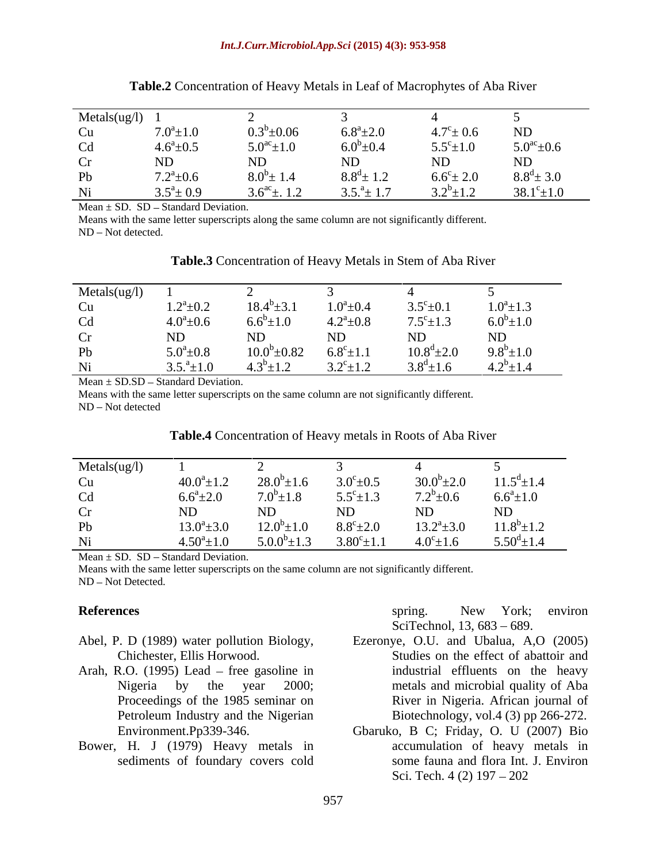| Metals(ug/l) |                 |                             |                       |                     |                           |
|--------------|-----------------|-----------------------------|-----------------------|---------------------|---------------------------|
| Cu           | $7.0^a \pm 1.0$ | $0.3^b \pm 0.06$            | $6.8^{\rm a}$ ±2.0    | $4.7^{\rm c}$ ± 0.6 | ND                        |
| Cd           | $4.6^a \pm 0.5$ | $5.0^{\rm ac}$ ±1.0         | $6.0^b \pm 0.4$       | $5.5^{\circ}$ ± 1.0 | $5.0^{\mathrm{ac}}\pm0.6$ |
| Cr           | ND              | ND                          | ND                    | $\rm ND$            | ND                        |
| Pb           | $7.2^a \pm 0.6$ | $8.0^{\circ}$ ± 1.4         | $8.8^{\rm d} \pm 1.2$ | $6.6^{\circ}$ ± 2.0 | $8.8^d \pm 3.0$           |
| Ni           | $3.5^a \pm 0.9$ | $3.6^{\text{ac}} \pm 0.1.2$ | $3.5.^a \pm 1.7$      | $3.2^b \pm 1.2$     | $38.1^{\circ} \pm 1.0$    |

| $\sim$ $\sim$ $\sim$ $\sim$<br>`Aba .<br>Table<br>Concentration of Hea<br>. Macrophytes $\sim$<br>avv Metal<br>−∪a Kiver<br>n Lear<br>$\cdot$ |  |
|-----------------------------------------------------------------------------------------------------------------------------------------------|--|
|                                                                                                                                               |  |

Mean  $\pm$  SD. SD – Standard Deviation.

Means with the same letter superscripts along the same column are not significantly different. ND - Not detected.

| Metals(ug/l) |                  |                    |                          |                       |                 |
|--------------|------------------|--------------------|--------------------------|-----------------------|-----------------|
| Cu           | $1.2^a \pm 0.2$  | $18.4^b \pm 3.1$   | $1.0^a \pm 0.4$          | $3.5^{\circ}$ ± 0.1   | $1.0^a \pm 1.3$ |
| Cd           | $4.0^a \pm 0.6$  | $6.6^{\circ}$ ±1.0 | $4.2^a \pm 0.8$          | $7.5^{\circ} \pm 1.3$ | $6.0^b \pm 1.0$ |
| Cr           |                  | ND                 | <b>NID</b><br><b>IND</b> | <b>NTIN</b>           | <b>NID</b>      |
| Pb           | $5.0^a \pm 0.8$  | $10.0^b \pm 0.82$  | $6.8^c \pm 1.1$          | $10.8^{\rm d}$ ±2.0   | $9.8^b \pm 1.0$ |
| Ni           | $3.5.^a \pm 1.0$ | $4.3^b \pm 1.2$    | $3.2^{\circ}$ ±1.2       | $3.8^{\rm d}$ ±1.6    | $4.2^b \pm 1.4$ |

**Table.3** Concentration of Heavy Metals in Stem of Aba River

 $Mean \pm SDSD - Standard Deviation.$ 

Means with the same letter superscripts on the same column are not significantly different. ND – Not detected

| Table.<br>Aba River<br>metals in Roots of<br>Concentration of Heavy |  |
|---------------------------------------------------------------------|--|
|                                                                     |  |

| Metals(ug/l) |                                                                                                               |                   |                        |                    |                           |
|--------------|---------------------------------------------------------------------------------------------------------------|-------------------|------------------------|--------------------|---------------------------|
| Cu           | $40.0^a \pm 1.2$                                                                                              | $28.0^b \pm 1.6$  | $3.0^{\circ}$ ± 0.5    | $30.0^b \pm 2.0$   | $11.5^d \pm 1.4$          |
| Cd           | $6.6^a \pm 2.0$                                                                                               | $7.0^b \pm 1.8$   | $5.5^{\circ}$ ± 1.3    | $7.2^b + 0.6$      | $6.6^a \pm 1.0$           |
| cr           |                                                                                                               |                   |                        |                    | $\rm ND$                  |
| Pb           | $13.0^a \pm 3.0$                                                                                              | $12.0^b \pm 1.0$  | $8.8^{\circ}$ ± 2.0    | $13.2^a \pm 3.0$   | $11.8^{\circ}$ ±1.2       |
| Ni           | $4.50^a \pm 1.0$                                                                                              | $5.0.0^b \pm 1.3$ | $3.80^{\circ} \pm 1.1$ | $4.0^{\circ}$ ±1.6 | $5.50^{\text{d}} \pm 1.4$ |
|              | 2008년 - 대한민국의 대한민국의 대한민국의 대한민국의 대한민국의 대한민국의 대한민국의 대한민국의 대한민국의 대한민국의 대한민국의 대한민국의 대한민국의 대한민국의 대한민국의 대한민국의 대한민국의 |                   |                        |                    |                           |

Mean  $\pm$  SD. SD – Standard Deviation.

Means with the same letter superscripts on the same column are not significantly different.

ND - Not Detected.

- Abel, P. D (1989) water pollution Biology, Ezeronye, O.U. and Ubalua, A,O (2005)
- Arah, R.O.  $(1995)$  Lead free gasoline in
- Bower, H. J (1979) Heavy metals in

**References** Spring. New York; environ spring. New York; environ SciTechnol, 13, 683 – 689.

- Chichester, Ellis Horwood. Studies on the effect of abattoir and Nigeria by the year 2000; metals and microbial quality of Aba Proceedings of the 1985 seminar on River in Nigeria. African journal of Petroleum Industry and the Nigerian Biotechnology, vol.4 (3) pp 266-272. industrial effluents on the heavy
- Environment.Pp339-346. Gbaruko, B C; Friday, O. U (2007) Bio sediments of foundary covers cold some fauna and flora Int. J. Environ accumulation of heavy metals in Sci. Tech. 4 (2) 197 – 202